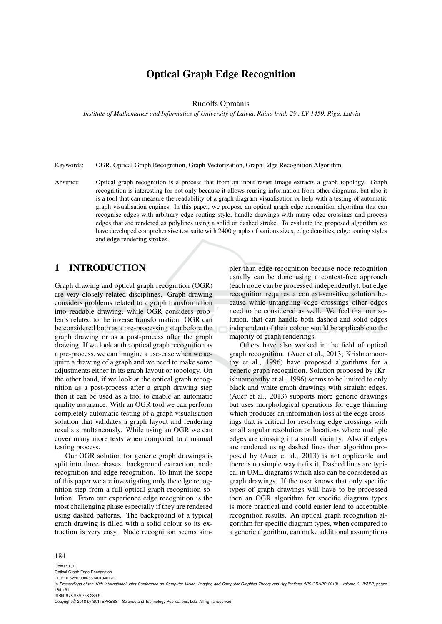# Optical Graph Edge Recognition

Rudolfs Opmanis

*Institute of Mathematics and Informatics of University of Latvia, Raina bvld. 29., LV-1459, Riga, Latvia*

Keywords: OGR, Optical Graph Recognition, Graph Vectorization, Graph Edge Recognition Algorithm.

Abstract: Optical graph recognition is a process that from an input raster image extracts a graph topology. Graph recognition is interesting for not only because it allows reusing information from other diagrams, but also it is a tool that can measure the readability of a graph diagram visualisation or help with a testing of automatic graph visualisation engines. In this paper, we propose an optical graph edge recognition algorithm that can recognise edges with arbitrary edge routing style, handle drawings with many edge crossings and process edges that are rendered as polylines using a solid or dashed stroke. To evaluate the proposed algorithm we have developed comprehensive test suite with 2400 graphs of various sizes, edge densities, edge routing styles and edge rendering strokes.

# 1 INTRODUCTION

Graph drawing and optical graph recognition (OGR) are very closely related disciplines. Graph drawing considers problems related to a graph transformation into readable drawing, while OGR considers problems related to the inverse transformation. OGR can be considered both as a pre-processing step before the graph drawing or as a post-process after the graph drawing. If we look at the optical graph recognition as a pre-process, we can imagine a use-case when we acquire a drawing of a graph and we need to make some adjustments either in its graph layout or topology. On the other hand, if we look at the optical graph recognition as a post-process after a graph drawing step then it can be used as a tool to enable an automatic quality assurance. With an OGR tool we can perform completely automatic testing of a graph visualisation solution that validates a graph layout and rendering results simultaneously. While using an OGR we can cover many more tests when compared to a manual testing process.

Our OGR solution for generic graph drawings is split into three phases: background extraction, node recognition and edge recognition. To limit the scope of this paper we are investigating only the edge recognition step from a full optical graph recognition solution. From our experience edge recognition is the most challenging phase especially if they are rendered using dashed patterns. The background of a typical graph drawing is filled with a solid colour so its extraction is very easy. Node recognition seems simpler than edge recognition because node recognition usually can be done using a context-free approach (each node can be processed independently), but edge recognition requires a context-sensitive solution because while untangling edge crossings other edges need to be considered as well. We feel that our solution, that can handle both dashed and solid edges independent of their colour would be applicable to the majority of graph renderings.

Others have also worked in the field of optical graph recognition. (Auer et al., 2013; Krishnamoorthy et al., 1996) have proposed algorithms for a generic graph recognition. Solution proposed by (Krishnamoorthy et al., 1996) seems to be limited to only black and white graph drawings with straight edges. (Auer et al., 2013) supports more generic drawings but uses morphological operations for edge thinning which produces an information loss at the edge crossings that is critical for resolving edge crossings with small angular resolution or locations where multiple edges are crossing in a small vicinity. Also if edges are rendered using dashed lines then algorithm proposed by (Auer et al., 2013) is not applicable and there is no simple way to fix it. Dashed lines are typical in UML diagrams which also can be considered as graph drawings. If the user knows that only specific types of graph drawings will have to be processed then an OGR algorithm for specific diagram types is more practical and could easier lead to acceptable recognition results. An optical graph recognition algorithm for specific diagram types, when compared to a generic algorithm, can make additional assumptions

#### 184

Opmanis, R. Optical Graph Edge Recognition.

DOI: 10.5220/0006550401840191

In *Proceedings of the 13th International Joint Conference on Computer Vision, Imaging and Computer Graphics Theory and Applications (VISIGRAPP 2018) - Volume 3: IVAPP*, pages 184-191

ISBN: 978-989-758-289-9

Copyright © 2018 by SCITEPRESS – Science and Technology Publications, Lda. All rights reserved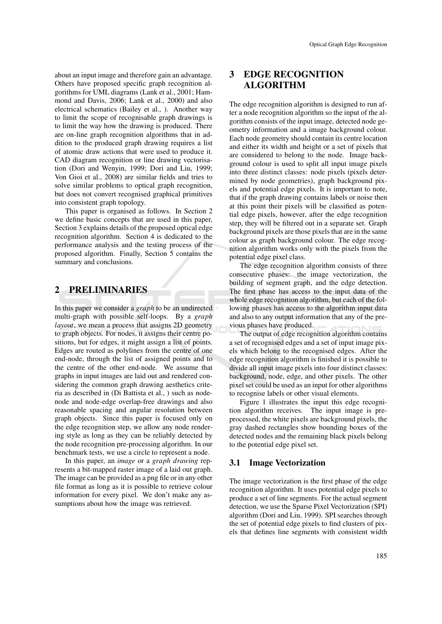about an input image and therefore gain an advantage. Others have proposed specific graph recognition algorithms for UML diagrams (Lank et al., 2001; Hammond and Davis, 2006; Lank et al., 2000) and also electrical schematics (Bailey et al., ). Another way to limit the scope of recognisable graph drawings is to limit the way how the drawing is produced. There are on-line graph recognition algorithms that in addition to the produced graph drawing requires a list of atomic draw actions that were used to produce it. CAD diagram recognition or line drawing vectorisation (Dori and Wenyin, 1999; Dori and Liu, 1999; Von Gioi et al., 2008) are similar fields and tries to solve similar problems to optical graph recognition, but does not convert recognised graphical primitives into consistent graph topology.

This paper is organised as follows. In Section 2 we define basic concepts that are used in this paper, Section 3 explains details of the proposed optical edge recognition algorithm. Section 4 is dedicated to the performance analysis and the testing process of the proposed algorithm. Finally, Section 5 contains the summary and conclusions.

### 2 PRELIMINARIES

In this paper we consider a *graph* to be an undirected multi-graph with possible self-loops. By a *graph layout*, we mean a process that assigns 2D geometry to graph objects. For nodes, it assigns their centre positions, but for edges, it might assign a list of points. Edges are routed as polylines from the centre of one end-node, through the list of assigned points and to the centre of the other end-node. We assume that graphs in input images are laid out and rendered considering the common graph drawing aesthetics criteria as described in (Di Battista et al., ) such as nodenode and node-edge overlap-free drawings and also reasonable spacing and angular resolution between graph objects. Since this paper is focused only on the edge recognition step, we allow any node rendering style as long as they can be reliably detected by the node recognition pre-processing algorithm. In our benchmark tests, we use a circle to represent a node.

In this paper, an *image* or a *graph drawing* represents a bit-mapped raster image of a laid out graph. The image can be provided as a png file or in any other file format as long as it is possible to retrieve colour information for every pixel. We don't make any assumptions about how the image was retrieved.

# 3 EDGE RECOGNITION ALGORITHM

The edge recognition algorithm is designed to run after a node recognition algorithm so the input of the algorithm consists of the input image, detected node geometry information and a image background colour. Each node geometry should contain its centre location and either its width and height or a set of pixels that are considered to belong to the node. Image background colour is used to split all input image pixels into three distinct classes: node pixels (pixels determined by node geometries), graph background pixels and potential edge pixels. It is important to note, that if the graph drawing contains labels or noise then at this point their pixels will be classified as potential edge pixels, however, after the edge recognition step, they will be filtered out in a separate set. Graph background pixels are those pixels that are in the same colour as graph background colour. The edge recognition algorithm works only with the pixels from the potential edge pixel class.

The edge recognition algorithm consists of three consecutive phases: the image vectorization, the building of segment graph, and the edge detection. The first phase has access to the input data of the whole edge recognition algorithm, but each of the following phases has access to the algorithm input data and also to any output information that any of the previous phases have produced.

The output of edge recognition algorithm contains a set of recognised edges and a set of input image pixels which belong to the recognised edges. After the edge recognition algorithm is finished it is possible to divide all input image pixels into four distinct classes: background, node, edge, and other pixels. The other pixel set could be used as an input for other algorithms to recognise labels or other visual elements.

Figure 1 illustrates the input this edge recognition algorithm receives. The input image is preprocessed, the white pixels are background pixels, the gray dashed rectangles show bounding boxes of the detected nodes and the remaining black pixels belong to the potential edge pixel set.

#### 3.1 Image Vectorization

The image vectorization is the first phase of the edge recognition algorithm. It uses potential edge pixels to produce a set of line segments. For the actual segment detection, we use the Sparse Pixel Vectorization (SPI) algorithm (Dori and Liu, 1999). SPI searches through the set of potential edge pixels to find clusters of pixels that defines line segments with consistent width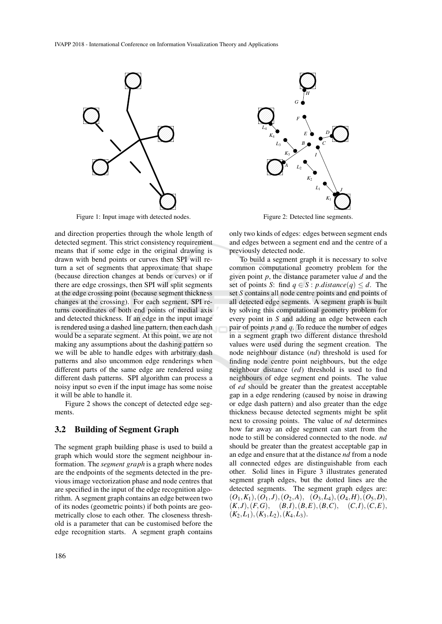

Figure 1: Input image with detected nodes.

and direction properties through the whole length of detected segment. This strict consistency requirement means that if some edge in the original drawing is drawn with bend points or curves then SPI will return a set of segments that approximate that shape (because direction changes at bends or curves) or if there are edge crossings, then SPI will split segments at the edge crossing point (because segment thickness changes at the crossing). For each segment, SPI returns coordinates of both end points of medial axis and detected thickness. If an edge in the input image is rendered using a dashed line pattern, then each dash would be a separate segment. At this point, we are not making any assumptions about the dashing pattern so we will be able to handle edges with arbitrary dash patterns and also uncommon edge renderings when different parts of the same edge are rendered using different dash patterns. SPI algorithm can process a noisy input so even if the input image has some noise it will be able to handle it.

Figure 2 shows the concept of detected edge segments.

#### 3.2 Building of Segment Graph

The segment graph building phase is used to build a graph which would store the segment neighbour information. The *segment graph* is a graph where nodes are the endpoints of the segments detected in the previous image vectorization phase and node centres that are specified in the input of the edge recognition algorithm. A segment graph contains an edge between two of its nodes (geometric points) if both points are geometrically close to each other. The closeness threshold is a parameter that can be customised before the edge recognition starts. A segment graph contains



only two kinds of edges: edges between segment ends and edges between a segment end and the centre of a previously detected node.

To build a segment graph it is necessary to solve common computational geometry problem for the given point *p*, the distance parameter value *d* and the set of points *S*: find  $q \in S$ : *p.distance* $(q) \leq d$ . The set *S* contains all node centre points and end points of all detected edge segments. A segment graph is built by solving this computational geometry problem for every point in *S* and adding an edge between each pair of points *p* and *q*. To reduce the number of edges in a segment graph two different distance threshold values were used during the segment creation. The node neighbour distance (*nd*) threshold is used for finding node centre point neighbours, but the edge neighbour distance (*ed*) threshold is used to find neighbours of edge segment end points. The value of *ed* should be greater than the greatest acceptable gap in a edge rendering (caused by noise in drawing or edge dash pattern) and also greater than the edge thickness because detected segments might be split next to crossing points. The value of *nd* determines how far away an edge segment can start from the node to still be considered connected to the node. *nd* should be greater than the greatest acceptable gap in an edge and ensure that at the distance *nd* from a node all connected edges are distinguishable from each other. Solid lines in Figure 3 illustrates generated segment graph edges, but the dotted lines are the detected segments. The segment graph edges are:  $(O_1, K_1), (O_1, J), (O_2, A), (O_3, L_4), (O_4, H), (O_5, D),$  $(K, J), (F, G), (B, I), (B, E), (B, C), (C, I), (C, E),$  $(K_2,L_1), (K_3,L_2), (K_4,L_3).$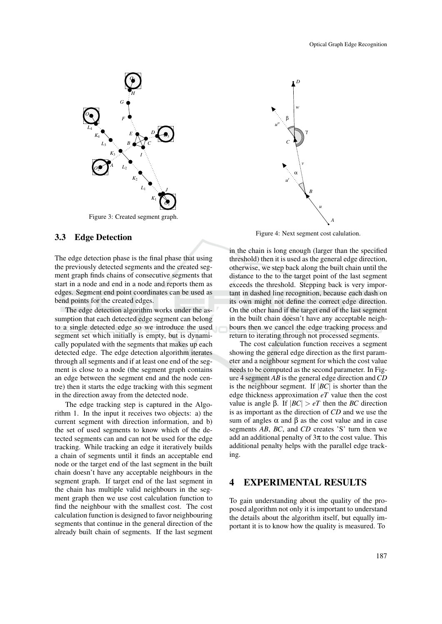

Figure 3: Created segment graph.

#### 3.3 Edge Detection

The edge detection phase is the final phase that using the previously detected segments and the created segment graph finds chains of consecutive segments that start in a node and end in a node and reports them as edges. Segment end point coordinates can be used as bend points for the created edges.

The edge detection algorithm works under the assumption that each detected edge segment can belong to a single detected edge so we introduce the used segment set which initially is empty, but is dynamically populated with the segments that makes up each detected edge. The edge detection algorithm iterates through all segments and if at least one end of the segment is close to a node (the segment graph contains an edge between the segment end and the node centre) then it starts the edge tracking with this segment in the direction away from the detected node.

The edge tracking step is captured in the Algorithm 1. In the input it receives two objects: a) the current segment with direction information, and b) the set of used segments to know which of the detected segments can and can not be used for the edge tracking. While tracking an edge it iteratively builds a chain of segments until it finds an acceptable end node or the target end of the last segment in the built chain doesn't have any acceptable neighbours in the segment graph. If target end of the last segment in the chain has multiple valid neighbours in the segment graph then we use cost calculation function to find the neighbour with the smallest cost. The cost calculation function is designed to favor neighbouring segments that continue in the general direction of the already built chain of segments. If the last segment



Figure 4: Next segment cost calulation.

in the chain is long enough (larger than the specified threshold) then it is used as the general edge direction, otherwise, we step back along the built chain until the distance to the to the target point of the last segment exceeds the threshold. Stepping back is very important in dashed line recognition, because each dash on its own might not define the correct edge direction. On the other hand if the target end of the last segment in the built chain doesn't have any acceptable neighbours then we cancel the edge tracking process and return to iterating through not processed segments.

The cost calculation function receives a segment showing the general edge direction as the first parameter and a neighbour segment for which the cost value needs to be computed as the second parameter. In Figure 4 segment *AB* is the general edge direction and*CD* is the neighbour segment. If |*BC*| is shorter than the edge thickness approximation *eT* value then the cost value is angle β. If  $|BC| > eT$  then the *BC* direction is as important as the direction of *CD* and we use the sum of angles  $\alpha$  and  $\beta$  as the cost value and in case segments *AB*, *BC*, and *CD* creates 'S' turn then we add an additional penalty of  $3\pi$  to the cost value. This additional penalty helps with the parallel edge tracking.

### 4 EXPERIMENTAL RESULTS

To gain understanding about the quality of the proposed algorithm not only it is important to understand the details about the algorithm itself, but equally important it is to know how the quality is measured. To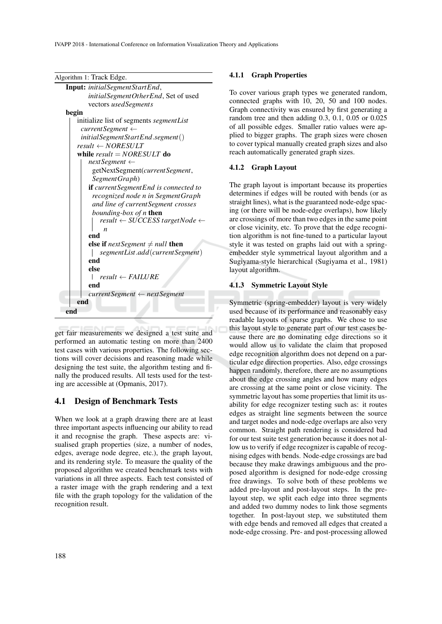IVAPP 2018 - International Conference on Information Visualization Theory and Applications

|  | Algorithm 1: Track Edge. |  |
|--|--------------------------|--|
|--|--------------------------|--|

| Input: initial Segment Start End,                 |
|---------------------------------------------------|
| initial Segment Other End, Set of used            |
| vectors usedSegments                              |
| begin                                             |
| initialize list of segments segmentList           |
| currentSegment                                    |
| initialSegmentStartEnd.segment()                  |
| $result \leftarrow NORESULT$                      |
| while result = $NORESULT$ do                      |
| $nextSegment \leftarrow$                          |
| getNextSegment(currentSegment,                    |
| Segment Graph)                                    |
| <b>if</b> current Segment End is connected to     |
| recognized node n in SegmentGraph                 |
| and line of current Segment crosses               |
| bounding-box of n then                            |
| $result \leftarrow SUCCESS targetNode \leftarrow$ |
| $\boldsymbol{n}$                                  |
| end                                               |
| else if next Segment $\neq$ null then             |
| segment List.add (current Segment)                |
| end                                               |
| else                                              |
| $result \leftarrow FAILURE$                       |
| end                                               |
| $currentSegment \leftarrow nextSegment$           |
| end                                               |
| end                                               |
|                                                   |

get fair measurements we designed a test suite and performed an automatic testing on more than 2400 test cases with various properties. The following sections will cover decisions and reasoning made while designing the test suite, the algorithm testing and finally the produced results. All tests used for the testing are accessible at (Opmanis, 2017).

### 4.1 Design of Benchmark Tests

When we look at a graph drawing there are at least three important aspects influencing our ability to read it and recognise the graph. These aspects are: visualised graph properties (size, a number of nodes, edges, average node degree, etc.), the graph layout, and its rendering style. To measure the quality of the proposed algorithm we created benchmark tests with variations in all three aspects. Each test consisted of a raster image with the graph rendering and a text file with the graph topology for the validation of the recognition result.

#### 4.1.1 Graph Properties

To cover various graph types we generated random, connected graphs with 10, 20, 50 and 100 nodes. Graph connectivity was ensured by first generating a random tree and then adding 0.3, 0.1, 0.05 or 0.025 of all possible edges. Smaller ratio values were applied to bigger graphs. The graph sizes were chosen to cover typical manually created graph sizes and also reach automatically generated graph sizes.

#### 4.1.2 Graph Layout

The graph layout is important because its properties determines if edges will be routed with bends (or as straight lines), what is the guaranteed node-edge spacing (or there will be node-edge overlaps), how likely are crossings of more than two edges in the same point or close vicinity, etc. To prove that the edge recognition algorithm is not fine-tuned to a particular layout style it was tested on graphs laid out with a springembedder style symmetrical layout algorithm and a Sugiyama-style hierarchical (Sugiyama et al., 1981) layout algorithm.

#### 4.1.3 Symmetric Layout Style

Symmetric (spring-embedder) layout is very widely used because of its performance and reasonably easy readable layouts of sparse graphs. We chose to use this layout style to generate part of our test cases because there are no dominating edge directions so it would allow us to validate the claim that proposed edge recognition algorithm does not depend on a particular edge direction properties. Also, edge crossings happen randomly, therefore, there are no assumptions about the edge crossing angles and how many edges are crossing at the same point or close vicinity. The symmetric layout has some properties that limit its usability for edge recognizer testing such as: it routes edges as straight line segments between the source and target nodes and node-edge overlaps are also very common. Straight path rendering is considered bad for our test suite test generation because it does not allow us to verify if edge recognizer is capable of recognising edges with bends. Node-edge crossings are bad because they make drawings ambiguous and the proposed algorithm is designed for node-edge crossing free drawings. To solve both of these problems we added pre-layout and post-layout steps. In the prelayout step, we split each edge into three segments and added two dummy nodes to link those segments together. In post-layout step, we substituted them with edge bends and removed all edges that created a node-edge crossing. Pre- and post-processing allowed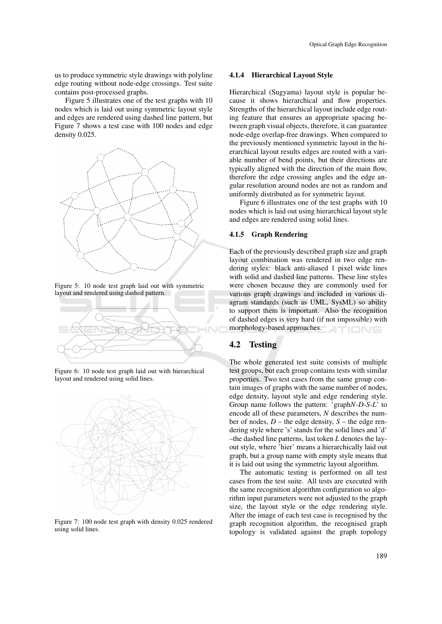us to produce symmetric style drawings with polyline edge routing without node-edge crossings. Test suite contains post-processed graphs.

Figure 5 illustrates one of the test graphs with 10 nodes which is laid out using symmetric layout style and edges are rendered using dashed line pattern, but Figure 7 shows a test case with 100 nodes and edge density 0.025.



Figure 5: 10 node test graph laid out with symmetric layout and rendered using dashed pattern.



Figure 6: 10 node test graph laid out with hierarchical layout and rendered using solid lines.



Figure 7: 100 node test graph with density 0.025 rendered using solid lines.

#### 4.1.4 Hierarchical Layout Style

Hierarchical (Sugyama) layout style is popular because it shows hierarchical and flow properties. Strengths of the hierarchical layout include edge routing feature that ensures an appropriate spacing between graph visual objects, therefore, it can guarantee node-edge overlap-free drawings. When compared to the previously mentioned symmetric layout in the hierarchical layout results edges are routed with a variable number of bend points, but their directions are typically aligned with the direction of the main flow, therefore the edge crossing angles and the edge angular resolution around nodes are not as random and uniformly distributed as for symmetric layout.

Figure 6 illustrates one of the test graphs with 10 nodes which is laid out using hierarchical layout style and edges are rendered using solid lines.

#### 4.1.5 Graph Rendering

Each of the previously described graph size and graph layout combination was rendered in two edge rendering styles: black anti-aliased 1 pixel wide lines with solid and dashed line patterns. These line styles were chosen because they are commonly used for various graph drawings and included in various diagram standards (such as UML, SysML) so ability to support them is important. Also the recognition of dashed edges is very hard (if not impossible) with morphology-based approaches. TIONS

#### 4.2 Testing

The whole generated test suite consists of multiple test groups, but each group contains tests with similar properties. Two test cases from the same group contain images of graphs with the same number of nodes, edge density, layout style and edge rendering style. Group name follows the pattern: 'graph*N*-*D*-*S*-*L*' to encode all of these parameters, *N* describes the number of nodes, *D* – the edge density, *S* – the edge rendering style where 's' stands for the solid lines and 'd' –the dashed line patterns, last token *L* denotes the layout style, where 'hier' means a hierarchically laid out graph, but a group name with empty style means that it is laid out using the symmetric layout algorithm.

The automatic testing is performed on all test cases from the test suite. All tests are executed with the same recognition algorithm configuration so algorithm input parameters were not adjusted to the graph size, the layout style or the edge rendering style. After the image of each test case is recognised by the graph recognition algorithm, the recognised graph topology is validated against the graph topology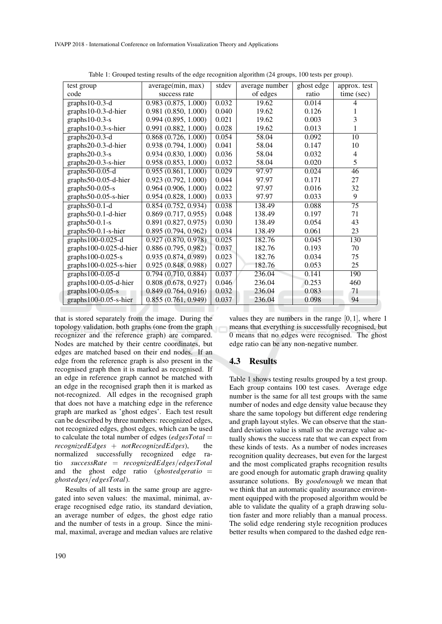| test group                | average(min, max)   | stdev | average number | ghost edge | approx. test    |
|---------------------------|---------------------|-------|----------------|------------|-----------------|
| code                      | success rate        |       | of edges       | ratio      | time (sec)      |
| graphs $10-0.3-d$         | 0.983(0.875, 1.000) | 0.032 | 19.62          | 0.014      | 4               |
| $graphs 10-0.3-d-hier$    | 0.981(0.850, 1.000) | 0.040 | 19.62          | 0.126      |                 |
| graphs $10-0.3-s$         | 0.994(0.895, 1.000) | 0.021 | 19.62          | 0.003      | 3               |
| graphs10-0.3-s-hier       | 0.991(0.882, 1.000) | 0.028 | 19.62          | 0.013      | 1               |
| graphs20-0.3-d            | 0.868(0.726, 1.000) | 0.054 | 58.04          | 0.092      | 10              |
| graphs20-0.3-d-hier       | 0.938(0.794, 1.000) | 0.041 | 58.04          | 0.147      | 10              |
| graphs $20-0.3-s$         | 0.934(0.830, 1.000) | 0.036 | 58.04          | 0.032      | 4               |
| graphs20-0.3-s-hier       | 0.958(0.853, 1.000) | 0.032 | 58.04          | 0.020      | 5               |
| graphs $50-0.05-d$        | 0.955(0.861, 1.000) | 0.029 | 97.97          | 0.024      | 46              |
| graphs50-0.05-d-hier      | 0.923(0.792, 1.000) | 0.044 | 97.97          | 0.171      | 27              |
| graphs $50-0.05-s$        | 0.964(0.906, 1.000) | 0.022 | 97.97          | 0.016      | 32              |
| graphs50-0.05-s-hier      | 0.954(0.828, 1.000) | 0.033 | 97.97          | 0.033      | 9               |
| graphs $50-0.1-d$         | 0.854(0.752, 0.934) | 0.038 | 138.49         | 0.088      | $\overline{75}$ |
| graphs50-0.1-d-hier       | 0.869(0.717, 0.955) | 0.048 | 138.49         | 0.197      | 71              |
| graphs $50-0.1-s$         | 0.891(0.827, 0.975) | 0.030 | 138.49         | 0.054      | 43              |
| graphs50-0.1-s-hier       | 0.895(0.794, 0.962) | 0.034 | 138.49         | 0.061      | 23              |
| graphs $100-0.025-d$      | 0.927(0.870, 0.978) | 0.025 | 182.76         | 0.045      | 130             |
| $graphs 100-0.025-d-hier$ | 0.886(0.795, 0.982) | 0.037 | 182.76         | 0.193      | 70              |
| graphs $100-0.025-s$      | 0.935(0.874, 0.989) | 0.023 | 182.76         | 0.034      | 75              |
| $graphs 100-0.025-s-hier$ | 0.925(0.848, 0.988) | 0.027 | 182.76         | 0.053      | 25              |
| graphs100-0.05-d          | 0.794(0.710, 0.884) | 0.037 | 236.04         | 0.141      | 190             |
| $graphs 100-0.05-d-hier$  | 0.808(0.678, 0.927) | 0.046 | 236.04         | 0.253      | 460             |
| graphs $100-0.05-s$       | 0.849(0.764, 0.916) | 0.032 | 236.04         | 0.083      | 71              |
| $graphs 100-0.05-s-hier$  | 0.855(0.761, 0.949) | 0.037 | 236.04         | 0.098      | 94              |

Table 1: Grouped testing results of the edge recognition algorithm (24 groups, 100 tests per group).

that is stored separately from the image. During the topology validation, both graphs (one from the graph recognizer and the reference graph) are compared. Nodes are matched by their centre coordinates, but edges are matched based on their end nodes. If an edge from the reference graph is also present in the recognised graph then it is marked as recognised. If an edge in reference graph cannot be matched with an edge in the recognised graph then it is marked as not-recognized. All edges in the recognised graph that does not have a matching edge in the reference graph are marked as 'ghost edges'. Each test result can be described by three numbers: recognized edges, not recognized edges, ghost edges, which can be used to calculate the total number of edges (*edgesTotal* = *recognizedEdges* + *notRecognizedEdges*), the normalized successfully recognized edge ratio *successRate* = *recognizedEdges*/*edgesTotal* and the ghost edge ratio (*ghostedgeratio* = *ghostedges*/*edgesTotal*).

Results of all tests in the same group are aggregated into seven values: the maximal, minimal, average recognised edge ratio, its standard deviation, an average number of edges, the ghost edge ratio and the number of tests in a group. Since the minimal, maximal, average and median values are relative

values they are numbers in the range [0,1], where 1 means that everything is successfully recognised, but 0 means that no edges were recognised. The ghost edge ratio can be any non-negative number.

#### 4.3 Results

Table 1 shows testing results grouped by a test group. Each group contains 100 test cases. Average edge number is the same for all test groups with the same number of nodes and edge density value because they share the same topology but different edge rendering and graph layout styles. We can observe that the standard deviation value is small so the average value actually shows the success rate that we can expect from these kinds of tests. As a number of nodes increases recognition quality decreases, but even for the largest and the most complicated graphs recognition results are good enough for automatic graph drawing quality assurance solutions. By *goodenough* we mean that we think that an automatic quality assurance environment equipped with the proposed algorithm would be able to validate the quality of a graph drawing solution faster and more reliably than a manual process. The solid edge rendering style recognition produces better results when compared to the dashed edge ren